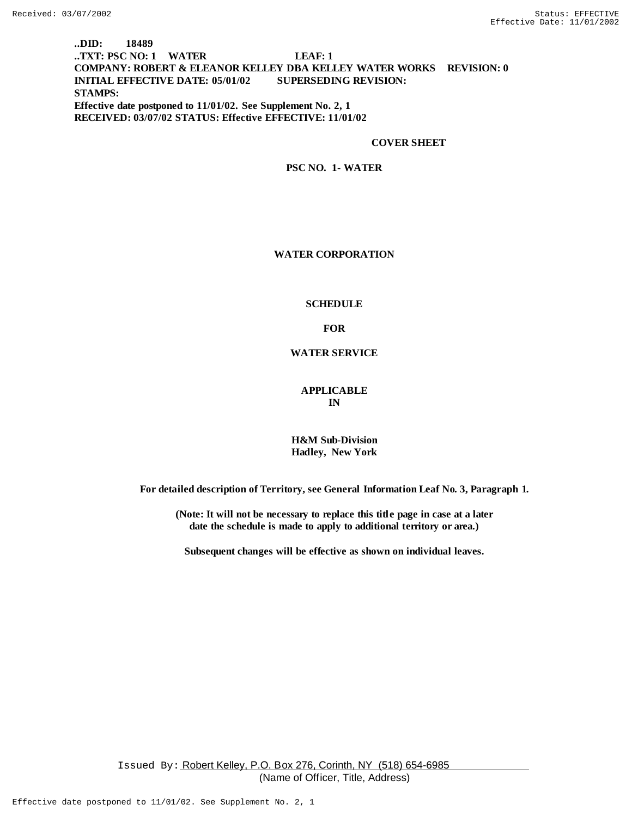## **..DID: 18489 ..TXT: PSC NO: 1 WATER LEAF: 1 COMPANY: ROBERT & ELEANOR KELLEY DBA KELLEY WATER WORKS REVISION: 0 INITIAL EFFECTIVE DATE: 05/01/02 SUPERSEDING REVISION: STAMPS: Effective date postponed to 11/01/02. See Supplement No. 2, 1 RECEIVED: 03/07/02 STATUS: Effective EFFECTIVE: 11/01/02**

#### **COVER SHEET**

**PSC NO. 1- WATER**

#### **WATER CORPORATION**

#### **SCHEDULE**

**FOR**

**WATER SERVICE**

**APPLICABLE IN**

**H&M Sub-Division Hadley, New York**

**For detailed description of Territory, see General Information Leaf No. 3, Par agr aph 1.**

**(Note: It will not be necessary to replace this title page in case at a later date the schedule is made to apply to additional territory or area.)**

**Subsequent changes will be effective as shown on individual leaves.**

Issued By: Robert Kelley, P.O. Box 276, Corinth, NY (518) 654-6985 (Name of Officer, Title, Address)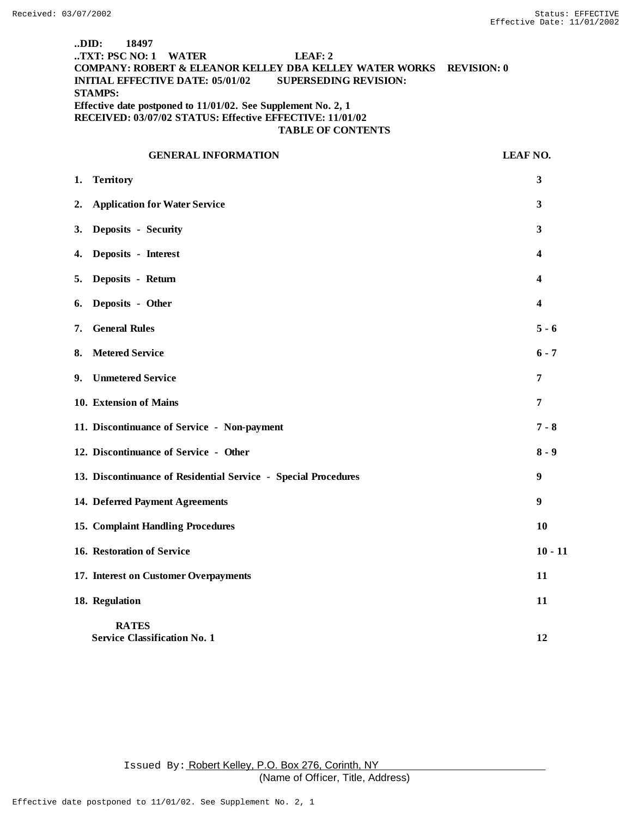## **..DID: 18497 ..TXT: PSC NO: 1 WATER LEAF: 2 COMPANY: ROBERT & ELEANOR KELLEY DBA KELLEY WATER WORKS REVISION: 0 INITIAL EFFECTIVE DATE: 05/01/02 SUPERSEDING REVISION: STAMPS: Effective date postponed to 11/01/02. See Supplement No. 2, 1 RECEIVED: 03/07/02 STATUS: Effective EFFECTIVE: 11/01/02 TABLE OF CONTENTS**

# **GENERAL INFORMATION LEAF NO. 1. Territory 3 2. Application for Water Service 3 3. Deposits - Security 3 4. Deposits - Interest 4 5. Deposits - Return 6. Deposits - Other 4 7. General Rules 5 - 6 8.** Metered Service 6 - 7 **9. Unmetered Service 7 10. Extension of Mains 7 11. Discontinuance of Service - Non-payment 7 - 8 12. Discontinuance of Service - Other 8 - 9 13. Discontinuance of Residential Service - Special Procedures 9 14. Deferred Payment Agreements 9 15. Complaint Handling Procedures 10 16. Restoration of Service 10 - 11** - 11 **17. Interest on Customer Overpayments 11 18. Regulation 11 RATES Service Classification No. 1 12 12**

Issued By: Robert Kelley, P.O. Box 276, Corinth, NY (Name of Officer, Title, Address)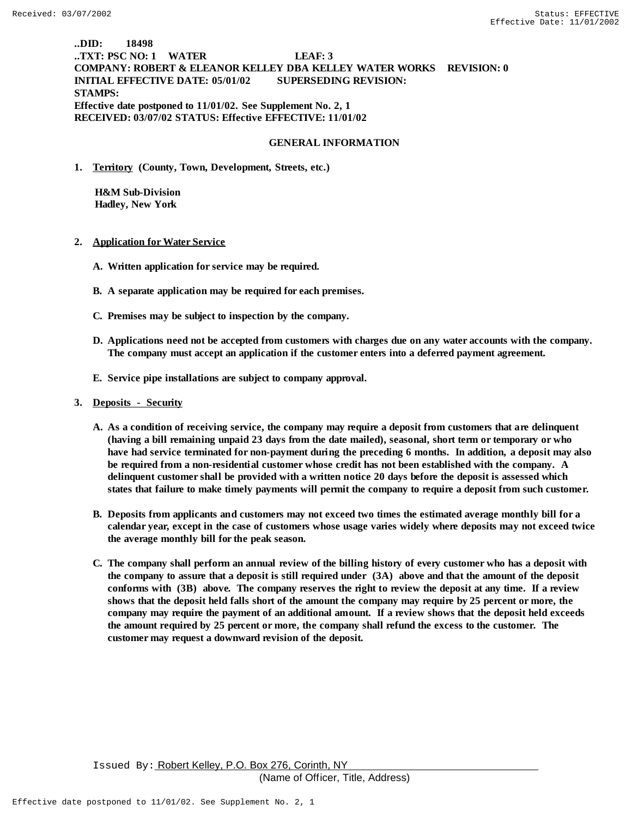# **..DID: 18498 ..TXT: PSC NO: 1 WATER LEAF: 3 COMPANY: ROBERT & ELEANOR KELLEY DBA KELLEY WATER WORKS REVISION: 0 INITIAL EFFECTIVE DATE: 05/01/02 SUPERSEDING REVISION: STAMPS: Effective date postponed to 11/01/02. See Supplement No. 2, 1 RECEIVED: 03/07/02 STATUS: Effective EFFECTIVE: 11/01/02**

#### **GENERAL INFORMATION**

**1. Territory (County, Town, Development, Streets, etc.)**

 **H&M Sub-Division Hadley, New York**

- **2. Application for Water Service**
	- **A. Written application for service may be required.**
	- **B. A separate application may be required for each premises.**
	- **C. Premises may be subject to inspection by the company.**
	- **D. Applications need not be accepted from customers with charges due on any water accounts with the company. The company must accept an application if the customer enters into a deferred payment agreement.**
	- **E. Service pipe installations are subject to company approval.**
- **3. Deposits Security**
	- **A. As a condition of receiving service, the company may require a deposit from customers that a re delinquent (having a bill remaining unpaid 23 days from the date mailed), seasonal, short term or temporary or who have had service terminated for non-payment during the preceding 6 months. In addition, a deposit may also be required from a non-residential customer whose credit has not been established with the company. A delinquent customer shall be provided with a written notice 20 days before the deposit is assessed which states that failure to make timely payments will permit the company to require a deposit from such customer.**
	- **B. Deposits from applicants and customers may not exceed two times the estimated average monthly bill for a calendar year, except in the case of customers whose usage varies widely where deposits may not exceed twice the average monthly bill for the peak season.**
	- **C. The company shall perform an annual review of the billing history of every customer who has a deposit with the company to assure that a deposit is still required under (3A) above and that the amount of the deposit conforms with (3B) above. The company reserves the right to review the deposit at any time. If a review shows that the deposit held falls short of the amount the company may require by 25 percent or more, the company may require the payment of an additional amount. If a review shows that the deposit held exceeds the amount required by 25 percent or more, the company shall refund the excess to the customer. The customer may request a downward revision of the deposit.**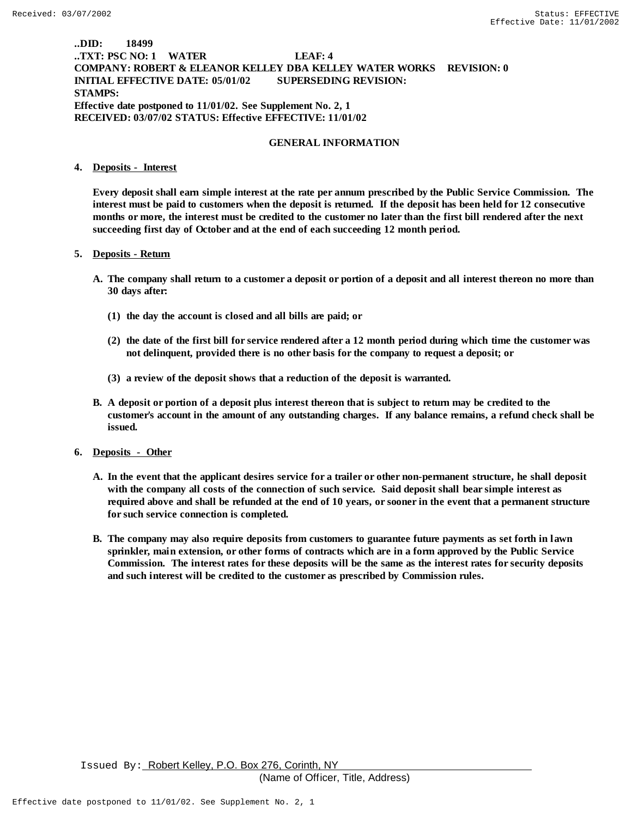## **..DID: 18499 ..TXT: PSC NO: 1 WATER LEAF: 4 COMPANY: ROBERT & ELEANOR KELLEY DBA KELLEY WATER WORKS REVISION: 0 INITIAL EFFECTIVE DATE: 05/01/02 SUPERSEDING REVISION: STAMPS: Effective date postponed to 11/01/02. See Supplement No. 2, 1 RECEIVED: 03/07/02 STATUS: Effective EFFECTIVE: 11/01/02**

#### **GENERAL INFORMATION**

#### **4. Deposits - Interest**

**Every deposit shall earn simple interest at the rate per annum prescribed by the Public Service Commission. The interest must be paid to customers when the deposit is returned. If the deposit has been held for 12 consecutive months or more, the interest must be credited to the customer no later than the first bill rendered after the next succeeding first day of October and at the end of each succeeding 12 month period.**

#### **5. Deposits - Return**

- **A. The company shall return to a customer a deposit or portion of a deposit and all interest thereon no more than 30 days after:**
	- **(1) the day the account is closed and all bills are paid; or**
	- **(2) the date of the first bill for service rendered after a 12 month period during which time the customer was not delinquent, provided there is no other basis for the company to request a deposit; or**
	- **(3) a review of the deposit shows that a reduction of the deposit is warranted.**
- **B. A deposit or portion of a deposit plus interest thereon that is subject to return may be credited to the customer's account in the amount of any outstanding charges. If any balance remains, a r efund check shall be issued.**
- **6. Deposits Other**
	- **A. In the event that the applicant desires service for a trailer or other non-permanent structure, he shall deposit with the company all costs of the connection of such service. Said deposit shall bear simple interest as required above and shall be refunded at the end of 10 years, or sooner in the event that a permanent structure for such service connection is completed.**
	- **B. The company may also require deposits from customers to guarantee future payments as set forth in lawn sprinkler, main extension, or other forms of contracts which are in a form approved by the Public Service Commission.** The interest rates for these deposits will be the same as the interest rates for security deposits **and such interest will be credited to the customer as prescribed by Commission rules.**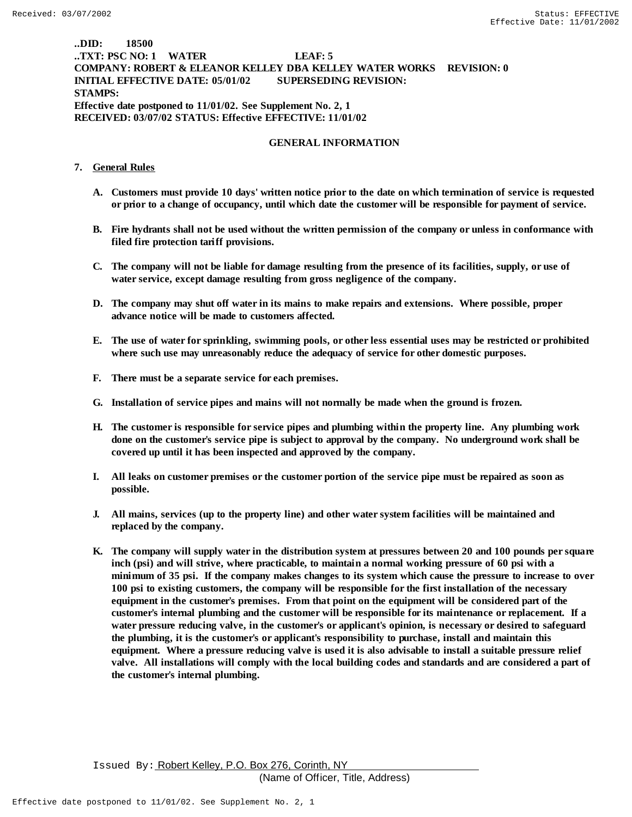## **..DID: 18500 ..TXT: PSC NO: 1 WATER LEAF: 5 COMPANY: ROBERT & ELEANOR KELLEY DBA KELLEY WATER WORKS REVISION: 0 INITIAL EFFECTIVE DATE: 05/01/02 SUPERSEDING REVISION: STAMPS: Effective date postponed to 11/01/02. See Supplement No. 2, 1 RECEIVED: 03/07/02 STATUS: Effective EFFECTIVE: 11/01/02**

#### **GENERAL INFORMATION**

### **7. General Rules**

- **A. Customers must provide 10 days' written notice prior to the date on which termination of service is requested or prior to a change of occupancy, until which date the customer will be responsible for payment of service.**
- **B. Fire hydrants shall not be used without the written permission of the company or unless in conformance with filed fire protection tariff provisions.**
- **C. The company will not be liable for damage resulting from the presence of its facilities, supply, or use of water service, except damage resulting from gross negligence of the company.**
- **D. The company may shut off water in its mains to make repairs and extensions. Where possible, proper advance notice will be made to customers affected.**
- **E. The use of water for sprinkling, swimming pools, or other less essential uses may be restricted or prohibited where such use may unreasonably reduce the adequacy of service for other domestic purposes.**
- **F. There must be a separate service for each premises.**
- **G. Installation of service pipes and mains will not normally be made when the ground is frozen.**
- **H. The customer is responsible for service pipes and plumbing within the property line. Any plumbing work done on the customer's service pipe is subject to approval by the company. No underground work shall be covered up until it has been inspected and approved by the company.**
- **I. All leaks on customer premises or the customer portion of the service pipe must be repaired as soon as possible.**
- **J. All mains, services (up to the property line) and other water system facilities will be maintained and replaced by the company.**
- **K. The company will supply water in the distribution system at pressures between 20 and 100 pounds per square inch (psi) and will strive, where practicable, to maintain a normal working pressure of 60 psi with a minimum of 35 psi. If the company makes changes to its system which cause the pressure to increase to over 100 psi to existing customers, the company will be responsible for the first installation of the necessary equipment in the customer's premises. From that point on the equipment will be considered part of the customer's internal plumbing and the customer will be responsible for its maintenance or replacement. If a water pressure reducing valve, in the customer's or applicant's opinion, is necessary or desired to safeguard the plumbing, it is the customer's or applicant's responsibility to purchase, install and maintain this equipment. Where a pressure reducing valve is used it is also advisable to install a suitable pressure relief valve. All installations will comply with the local building codes and standards and are considered a part of the customer's internal plumbing.**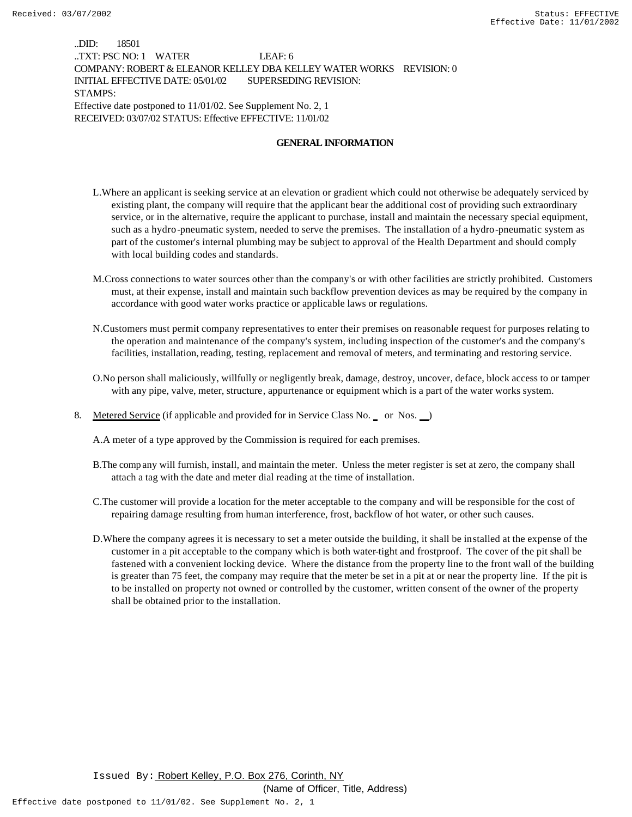..DID: 18501 ..TXT: PSC NO: 1 WATER LEAF: 6 COMPANY: ROBERT & ELEANOR KELLEY DBA KELLEY WATER WORKS REVISION: 0 INITIAL EFFECTIVE DATE: 05/01/02 SUPERSEDING REVISION: STAMPS: Effective date postponed to 11/01/02. See Supplement No. 2, 1 RECEIVED: 03/07/02 STATUS: Effective EFFECTIVE: 11/01/02

#### **GENERAL INFORMATION**

- L.Where an applicant is seeking service at an elevation or gradient which could not otherwise be adequately serviced by existing plant, the company will require that the applicant bear the additional cost of providing such extraordinary service, or in the alternative, require the applicant to purchase, install and maintain the necessary special equipment, such as a hydro-pneumatic system, needed to serve the premises. The installation of a hydro-pneumatic system as part of the customer's internal plumbing may be subject to approval of the Health Department and should comply with local building codes and standards.
- M.Cross connections to water sources other than the company's or with other facilities are strictly prohibited. Customers must, at their expense, install and maintain such backflow prevention devices as may be required by the company in accordance with good water works practice or applicable laws or regulations.
- N.Customers must permit company representatives to enter their premises on reasonable request for purposes relating to the operation and maintenance of the company's system, including inspection of the customer's and the company's facilities, installation, reading, testing, replacement and removal of meters, and terminating and restoring service.
- O.No person shall maliciously, willfully or negligently break, damage, destroy, uncover, deface, block access to or tamper with any pipe, valve, meter, structure, appurtenance or equipment which is a part of the water works system.
- 8. Metered Service (if applicable and provided for in Service Class No. \_ or Nos. \_)

A.A meter of a type approved by the Commission is required for each premises.

- B.The comp any will furnish, install, and maintain the meter. Unless the meter register is set at zero, the company shall attach a tag with the date and meter dial reading at the time of installation.
- C.The customer will provide a location for the meter acceptable to the company and will be responsible for the cost of repairing damage resulting from human interference, frost, backflow of hot water, or other such causes.
- D.Where the company agrees it is necessary to set a meter outside the building, it shall be installed at the expense of the customer in a pit acceptable to the company which is both water-tight and frostproof. The cover of the pit shall be fastened with a convenient locking device. Where the distance from the property line to the front wall of the building is greater than 75 feet, the company may require that the meter be set in a pit at or near the property line. If the pit is to be installed on property not owned or controlled by the customer, written consent of the owner of the property shall be obtained prior to the installation.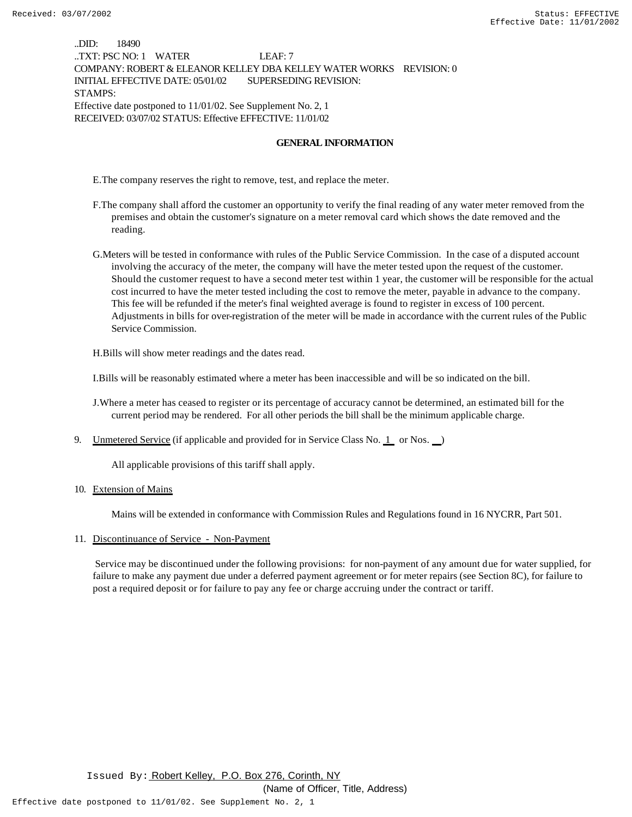..DID: 18490 ..TXT: PSC NO: 1 WATER LEAF: 7 COMPANY: ROBERT & ELEANOR KELLEY DBA KELLEY WATER WORKS REVISION: 0 INITIAL EFFECTIVE DATE: 05/01/02 SUPERSEDING REVISION: STAMPS: Effective date postponed to 11/01/02. See Supplement No. 2, 1 RECEIVED: 03/07/02 STATUS: Effective EFFECTIVE: 11/01/02

#### **GENERAL INFORMATION**

E.The company reserves the right to remove, test, and replace the meter.

- F.The company shall afford the customer an opportunity to verify the final reading of any water meter removed from the premises and obtain the customer's signature on a meter removal card which shows the date removed and the reading.
- G.Meters will be tested in conformance with rules of the Public Service Commission. In the case of a disputed account involving the accuracy of the meter, the company will have the meter tested upon the request of the customer. Should the customer request to have a second meter test within 1 year, the customer will be responsible for the actual cost incurred to have the meter tested including the cost to remove the meter, payable in advance to the company. This fee will be refunded if the meter's final weighted average is found to register in excess of 100 percent. Adjustments in bills for over-registration of the meter will be made in accordance with the current rules of the Public Service Commission.

H.Bills will show meter readings and the dates read.

I.Bills will be reasonably estimated where a meter has been inaccessible and will be so indicated on the bill.

J.Where a meter has ceased to register or its percentage of accuracy cannot be determined, an estimated bill for the current period may be rendered. For all other periods the bill shall be the minimum applicable charge.

9. Unmetered Service (if applicable and provided for in Service Class No.  $1$  or Nos.  $\Box$ )

All applicable provisions of this tariff shall apply.

10. Extension of Mains

Mains will be extended in conformance with Commission Rules and Regulations found in 16 NYCRR, Part 501.

11. Discontinuance of Service - Non-Payment

 Service may be discontinued under the following provisions: for non-payment of any amount due for water supplied, for failure to make any payment due under a deferred payment agreement or for meter repairs (see Section 8C), for failure to post a required deposit or for failure to pay any fee or charge accruing under the contract or tariff.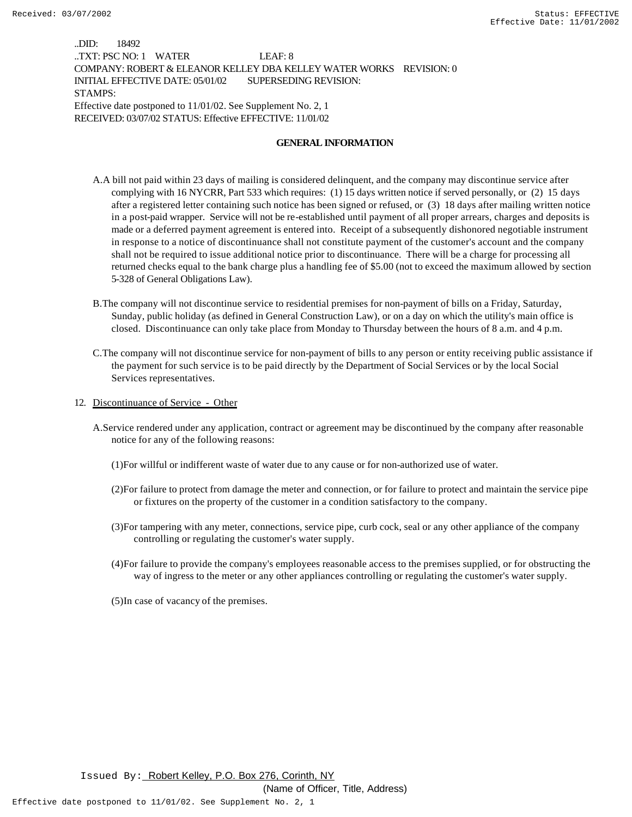..DID: 18492 ..TXT: PSC NO: 1 WATER LEAF: 8 COMPANY: ROBERT & ELEANOR KELLEY DBA KELLEY WATER WORKS REVISION: 0 INITIAL EFFECTIVE DATE: 05/01/02 SUPERSEDING REVISION: STAMPS: Effective date postponed to 11/01/02. See Supplement No. 2, 1 RECEIVED: 03/07/02 STATUS: Effective EFFECTIVE: 11/01/02

#### **GENERAL INFORMATION**

- A.A bill not paid within 23 days of mailing is considered delinquent, and the company may discontinue service after complying with 16 NYCRR, Part 533 which requires: (1) 15 days written notice if served personally, or (2) 15 days after a registered letter containing such notice has been signed or refused, or (3) 18 days after mailing written notice in a post-paid wrapper. Service will not be re-established until payment of all proper arrears, charges and deposits is made or a deferred payment agreement is entered into. Receipt of a subsequently dishonored negotiable instrument in response to a notice of discontinuance shall not constitute payment of the customer's account and the company shall not be required to issue additional notice prior to discontinuance. There will be a charge for processing all returned checks equal to the bank charge plus a handling fee of \$5.00 (not to exceed the maximum allowed by section 5-328 of General Obligations Law).
- B.The company will not discontinue service to residential premises for non-payment of bills on a Friday, Saturday, Sunday, public holiday (as defined in General Construction Law), or on a day on which the utility's main office is closed. Discontinuance can only take place from Monday to Thursday between the hours of 8 a.m. and 4 p.m.
- C.The company will not discontinue service for non-payment of bills to any person or entity receiving public assistance if the payment for such service is to be paid directly by the Department of Social Services or by the local Social Services representatives.
- 12. Discontinuance of Service Other
	- A.Service rendered under any application, contract or agreement may be discontinued by the company after reasonable notice for any of the following reasons:
		- (1)For willful or indifferent waste of water due to any cause or for non-authorized use of water.
		- (2)For failure to protect from damage the meter and connection, or for failure to protect and maintain the service pipe or fixtures on the property of the customer in a condition satisfactory to the company.
		- (3)For tampering with any meter, connections, service pipe, curb cock, seal or any other appliance of the company controlling or regulating the customer's water supply.
		- (4)For failure to provide the company's employees reasonable access to the premises supplied, or for obstructing the way of ingress to the meter or any other appliances controlling or regulating the customer's water supply.
		- (5)In case of vacancy of the premises.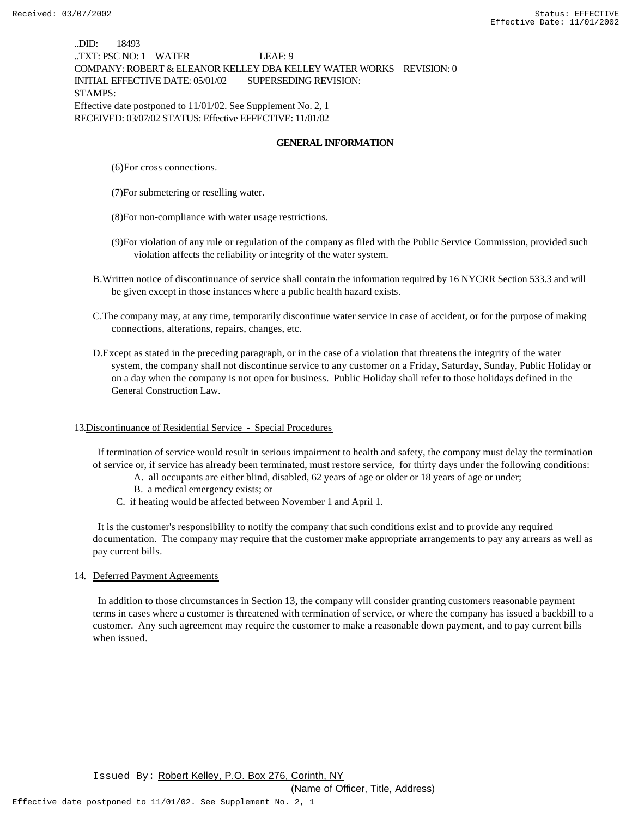..DID: 18493 ..TXT: PSC NO: 1 WATER LEAF: 9 COMPANY: ROBERT & ELEANOR KELLEY DBA KELLEY WATER WORKS REVISION: 0 INITIAL EFFECTIVE DATE: 05/01/02 SUPERSEDING REVISION: STAMPS: Effective date postponed to 11/01/02. See Supplement No. 2, 1 RECEIVED: 03/07/02 STATUS: Effective EFFECTIVE: 11/01/02

#### **GENERAL INFORMATION**

- (6)For cross connections.
- (7)For submetering or reselling water.
- (8)For non-compliance with water usage restrictions.
- (9)For violation of any rule or regulation of the company as filed with the Public Service Commission, provided such violation affects the reliability or integrity of the water system.
- B.Written notice of discontinuance of service shall contain the information required by 16 NYCRR Section 533.3 and will be given except in those instances where a public health hazard exists.
- C.The company may, at any time, temporarily discontinue water service in case of accident, or for the purpose of making connections, alterations, repairs, changes, etc.
- D.Except as stated in the preceding paragraph, or in the case of a violation that threatens the integrity of the water system, the company shall not discontinue service to any customer on a Friday, Saturday, Sunday, Public Holiday or on a day when the company is not open for business. Public Holiday shall refer to those holidays defined in the General Construction Law.

#### 13.Discontinuance of Residential Service - Special Procedures

 If termination of service would result in serious impairment to health and safety, the company must delay the termination of service or, if service has already been terminated, must restore service, for thirty days under the following conditions:

- A. all occupants are either blind, disabled, 62 years of age or older or 18 years of age or under;
- B. a medical emergency exists; or
- C. if heating would be affected between November 1 and April 1.

 It is the customer's responsibility to notify the company that such conditions exist and to provide any required documentation. The company may require that the customer make appropriate arrangements to pay any arrears as well as pay current bills.

#### 14. Deferred Payment Agreements

 In addition to those circumstances in Section 13, the company will consider granting customers reasonable payment terms in cases where a customer is threatened with termination of service, or where the company has issued a backbill to a customer. Any such agreement may require the customer to make a reasonable down payment, and to pay current bills when issued.

(Name of Officer, Title, Address)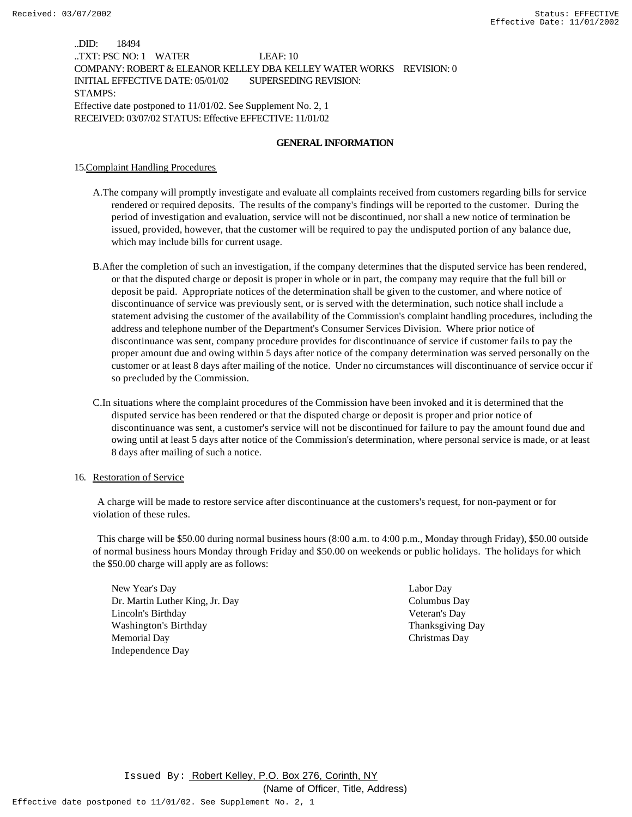..DID: 18494 ..TXT: PSC NO: 1 WATER LEAF: 10 COMPANY: ROBERT & ELEANOR KELLEY DBA KELLEY WATER WORKS REVISION: 0 INITIAL EFFECTIVE DATE: 05/01/02 SUPERSEDING REVISION: STAMPS: Effective date postponed to 11/01/02. See Supplement No. 2, 1 RECEIVED: 03/07/02 STATUS: Effective EFFECTIVE: 11/01/02

#### **GENERAL INFORMATION**

15.Complaint Handling Procedures

- A.The company will promptly investigate and evaluate all complaints received from customers regarding bills for service rendered or required deposits. The results of the company's findings will be reported to the customer. During the period of investigation and evaluation, service will not be discontinued, nor shall a new notice of termination be issued, provided, however, that the customer will be required to pay the undisputed portion of any balance due, which may include bills for current usage.
- B.After the completion of such an investigation, if the company determines that the disputed service has been rendered, or that the disputed charge or deposit is proper in whole or in part, the company may require that the full bill or deposit be paid. Appropriate notices of the determination shall be given to the customer, and where notice of discontinuance of service was previously sent, or is served with the determination, such notice shall include a statement advising the customer of the availability of the Commission's complaint handling procedures, including the address and telephone number of the Department's Consumer Services Division. Where prior notice of discontinuance was sent, company procedure provides for discontinuance of service if customer fails to pay the proper amount due and owing within 5 days after notice of the company determination was served personally on the customer or at least 8 days after mailing of the notice. Under no circumstances will discontinuance of service occur if so precluded by the Commission.
- C.In situations where the complaint procedures of the Commission have been invoked and it is determined that the disputed service has been rendered or that the disputed charge or deposit is proper and prior notice of discontinuance was sent, a customer's service will not be discontinued for failure to pay the amount found due and owing until at least 5 days after notice of the Commission's determination, where personal service is made, or at least 8 days after mailing of such a notice.

#### 16. Restoration of Service

 A charge will be made to restore service after discontinuance at the customers's request, for non-payment or for violation of these rules.

 This charge will be \$50.00 during normal business hours (8:00 a.m. to 4:00 p.m., Monday through Friday), \$50.00 outside of normal business hours Monday through Friday and \$50.00 on weekends or public holidays. The holidays for which the \$50.00 charge will apply are as follows:

New Year's Day Labor Day Dr. Martin Luther King, Jr. Day Columbus Day Lincoln's Birthday Veteran's Day Washington's Birthday Thanksgiving Day Memorial Day Christmas Day Independence Day

(Name of Officer, Title, Address)

Effective date postponed to 11/01/02. See Supplement No. 2, 1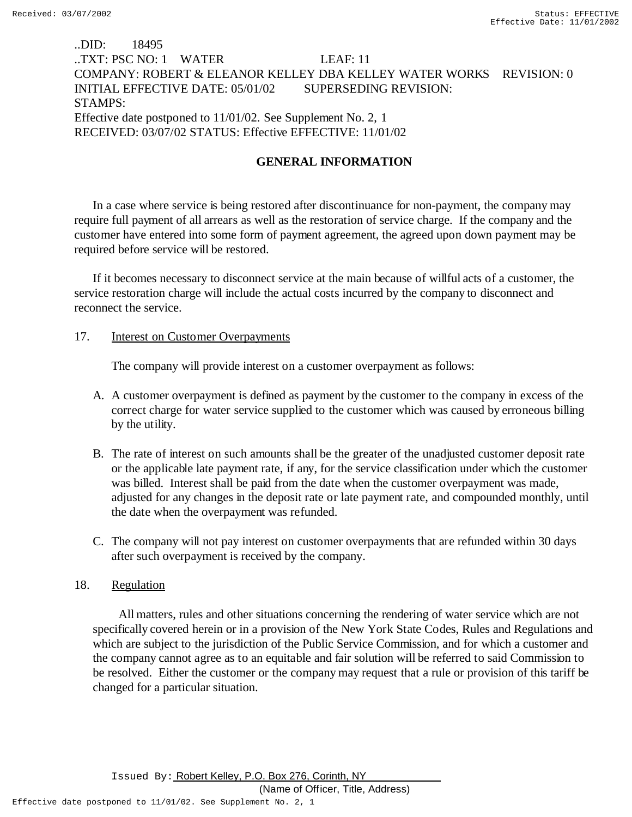# ..DID: 18495 ..TXT: PSC NO: 1 WATER LEAF: 11 COMPANY: ROBERT & ELEANOR KELLEY DBA KELLEY WATER WORKS REVISION: 0 INITIAL EFFECTIVE DATE: 05/01/02 SUPERSEDING REVISION: STAMPS: Effective date postponed to 11/01/02. See Supplement No. 2, 1 RECEIVED: 03/07/02 STATUS: Effective EFFECTIVE: 11/01/02

# **GENERAL INFORMATION**

In a case where service is being restored after discontinuance for non-payment, the company may require full payment of all arrears as well as the restoration of service charge. If the company and the customer have entered into some form of payment agreement, the agreed upon down payment may be required before service will be restored.

If it becomes necessary to disconnect service at the main because of willful acts of a customer, the service restoration charge will include the actual costs incurred by the company to disconnect and reconnect the service.

# 17. **Interest on Customer Overpayments**

The company will provide interest on a customer overpayment as follows:

- A. A customer overpayment is defined as payment by the customer to the company in excess of the correct charge for water service supplied to the customer which was caused by erroneous billing by the utility.
- B. The rate of interest on such amounts shall be the greater of the unadjusted customer deposit rate or the applicable late payment rate, if any, for the service classification under which the customer was billed. Interest shall be paid from the date when the customer overpayment was made, adjusted for any changes in the deposit rate or late payment rate, and compounded monthly, until the date when the overpayment was refunded.
- C. The company will not pay interest on customer overpayments that are refunded within 30 days after such overpayment is received by the company.

# 18. Regulation

 All matters, rules and other situations concerning the rendering of water service which are not specifically covered herein or in a provision of the New York State Codes, Rules and Regulations and which are subject to the jurisdiction of the Public Service Commission, and for which a customer and the company cannot agree as to an equitable and fair solution will be referred to said Commission to be resolved. Either the customer or the company may request that a rule or provision of this tariff be changed for a particular situation.